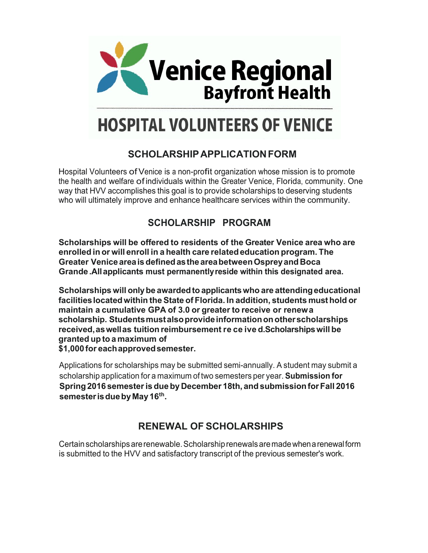

# **HOSPITAL VOLUNTEERS OF VENICE**

## **SCHOLARSHIPAPPLICATIONFORM**

Hospital Volunteers ofVenice is <sup>a</sup> non-profit organization whose mission is to promote the health and welfare. ofindividuals within the Greater Venice, Florida, community. One way that HVV accomplishes this goal is to provide scholarships to deserving students who will ultimately improve and enhance healthcare services within the community.

## **SCHOLARSHIP PROGRAM**

**Scholarships will be offered to residents of the Greater Venice area who are enrolled in or will enroll in a health care relatededucation program. The Greater VeniceareaisdefinedastheareabetweenOspreyand Boca Grande .Allapplicants must permanentlyreside within this designated area.**

**Scholarships will onlybe awardedto applicantswho are attendingeducational facilitieslocatedwithin the State of Florida. In addition, students musthold or maintain a cumulative GPA of 3.0 or greater to receive or renew a scholarship. Students mustalsoprovideinformationonother scholarships received,as wellas tuition reimbursement received. Scholarshipswill be granted up to a maximum of \$1,000 for eachapprovedsemester.**

Applications for scholarships may be submitted semi-annually. A student may submit a scholarship application for a maximum of two semesters per year. **Submission for Spring 2016 semesteris dueby December 18th, andsubmissionforFall 2016 semesterisduebyMay 16th .**

## **RENEWAL OF SCHOLARSHIPS**

Certainscholarshipsarerenewable. Scholarshiprenewals aremadewhen arenewalform is submitted to the HVV and satisfactory transcript of the previous semester's work.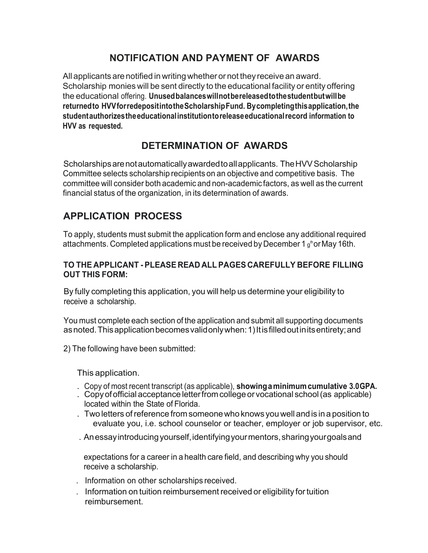## **NOTIFICATION AND PAYMENT OF AWARDS**

All applicants are notified in writing whether or not they receive an award. Scholarship monies will be sent directly to the educational facility or entity offering the educational offering. **Unused balances willnotbereleased tothe student butwillbe returned to HVV forredeposit into the Scholarship Fund. By completing this application, the student authorizes the educational institutionto release educational record information to HVV as requested.**

## **DETERMINATION OF AWARDS**

Scholarships are not automatically awarded to all applicants. The HVV Scholarship Committee selects scholarship recipients on an objective and competitive basis. The committee will consider both academic and non-academic factors, as well as the current financial status of the organization, in its determination of awards.

## **APPLICATION PROCESS**

To apply, students must submit the application form and enclose any additional required attachments. Completed applications must be received by December 1  $\mathfrak{g}^{\text{\tiny th}}$ or May 16th.

#### **TO THE APPLICANT - PLEASE READ ALL PAGES CAREFULLY BEFORE FILLING OUT THIS FORM:**

By fully completing this application, you will help us determine your eligibility to receive a scholarship.

You must complete each section of the application and submit all supporting documents as noted. This application becomes validonly when: 1) It is filled out in its entirety; and

2) The following have been submitted:

This application.

- . Copy of most recent transcript (as applicable), **showing aminimumcumulative 3.0GPA.**
- . Copyofofficial acceptance letterfromcollege or vocational school (as applicable) located within the State of Florida.
- . Two letters of reference from someonewho knows you well andis in a position to evaluate you, i.e. school counselor or teacher, employer or job supervisor, etc.
- . An essay introducing yourself, identifying your mentors, sharingyourgoalsand

expectations for a career in a health care field, and describing why you should receive a scholarship.

- . Information on other scholarships received.
- . Information on tuition reimbursement received or eligibility fortuition reimbursement.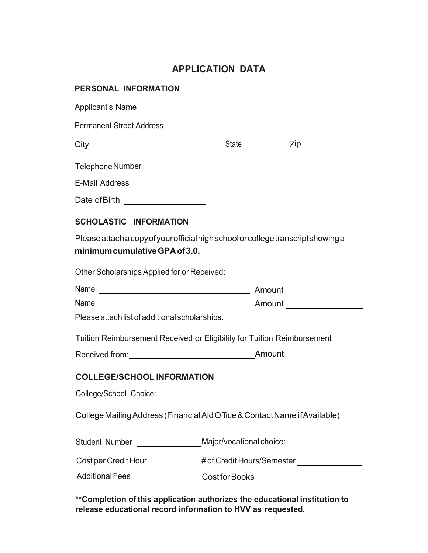## **APPLICATION DATA**

| PERSONAL INFORMATION                           |                                                                                   |  |
|------------------------------------------------|-----------------------------------------------------------------------------------|--|
|                                                |                                                                                   |  |
|                                                |                                                                                   |  |
|                                                |                                                                                   |  |
| Telephone Number ____________________________  |                                                                                   |  |
|                                                |                                                                                   |  |
| Date of Birth __________________               |                                                                                   |  |
| <b>SCHOLASTIC INFORMATION</b>                  |                                                                                   |  |
| minimum cumulative GPA of 3.0.                 | Please attach a copy of your official high school or college transcript showing a |  |
| Other Scholarships Applied for or Received:    |                                                                                   |  |
|                                                |                                                                                   |  |
|                                                |                                                                                   |  |
| Please attach list of additional scholarships. |                                                                                   |  |
|                                                | Tuition Reimbursement Received or Eligibility for Tuition Reimbursement           |  |
|                                                |                                                                                   |  |
| <b>COLLEGE/SCHOOL INFORMATION</b>              |                                                                                   |  |
|                                                |                                                                                   |  |
|                                                | College Mailing Address (Financial Aid Office & Contact Name if Available)        |  |
| <b>Student Number</b>                          | Major/vocational choice: ____________________                                     |  |
| Cost per Credit Hour ___________               | # of Credit Hours/Semester _________________                                      |  |
|                                                | Additional Fees __________________Cost for Books _______________________________  |  |

**\*\*Completion of this application authorizes the educational institution to release educational record information to HVV as requested.**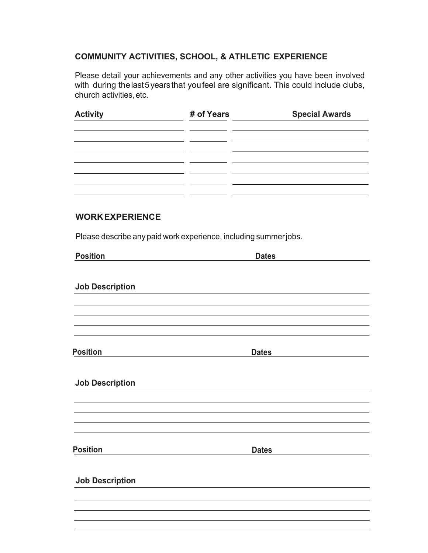#### **COMMUNITY ACTIVITIES, SCHOOL, & ATHLETIC EXPERIENCE**

Please detail your achievements and any other activities you have been involved with during thelast5yearsthat youfeel are significant. This could include clubs, church activities, etc.

| <b>Activity</b>        | # of Years                                                       | <b>Special Awards</b> |  |
|------------------------|------------------------------------------------------------------|-----------------------|--|
|                        |                                                                  |                       |  |
|                        |                                                                  |                       |  |
| <b>WORK EXPERIENCE</b> |                                                                  |                       |  |
|                        | Please describe any paid work experience, including summer jobs. |                       |  |
| <b>Position</b>        |                                                                  | <b>Dates</b>          |  |
| <b>Job Description</b> |                                                                  |                       |  |
|                        |                                                                  |                       |  |
|                        |                                                                  |                       |  |
| <b>Position</b>        |                                                                  | <b>Dates</b>          |  |
| <b>Job Description</b> |                                                                  |                       |  |
|                        |                                                                  |                       |  |
|                        |                                                                  |                       |  |
|                        |                                                                  |                       |  |
| <b>Position</b>        |                                                                  | <b>Dates</b>          |  |
| <b>Job Description</b> |                                                                  |                       |  |
|                        |                                                                  |                       |  |
|                        |                                                                  |                       |  |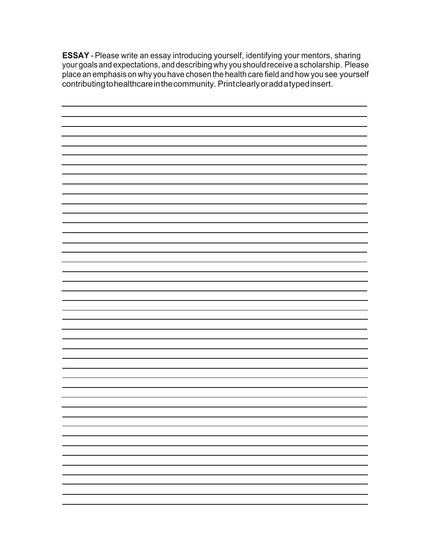**ESSAY** - Please write an essay introducing yourself, identifying your mentors, sharing your goals and expectations, and describing why you shouldreceive a scholarship. Please place an emphasis on why you have chosen the health care field and how you see yourself contributing tohealthcare in the community. Printclearly or add a typed insert.

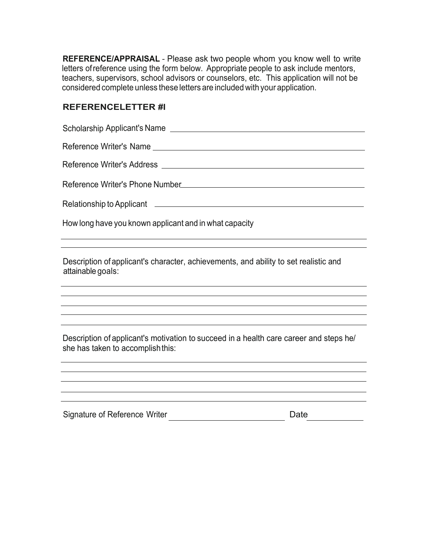**REFERENCE/APPRAISAL** - Please ask two people whom you know well to write letters ofreference using the form below. Appropriate people to ask include mentors, teachers, supervisors, school advisors or counselors, etc. This application will not be considered complete unless these letters are included with your application.

#### **REFERENCELETTER #l**

Scholarship Applicant's Name Reference Writer's Name **Example 2018** Reference Writerʹs Address Reference Writer's Phone Number Number Number (Number Number Number Number Number Number Number Number Number Number Number Number Number Number Number Number Number Number Number Number Number Number Number Number Number Relationship to Applicant **Constanting to Applicant** 

How long have you known applicant and in what capacity

Description of applicant's character, achievements, and ability to set realistic and attainable goals:

Description of applicant's motivation to succeed in a health care career and steps he/ she has taken to accomplishthis:

Signature of Reference Writer **Date** Date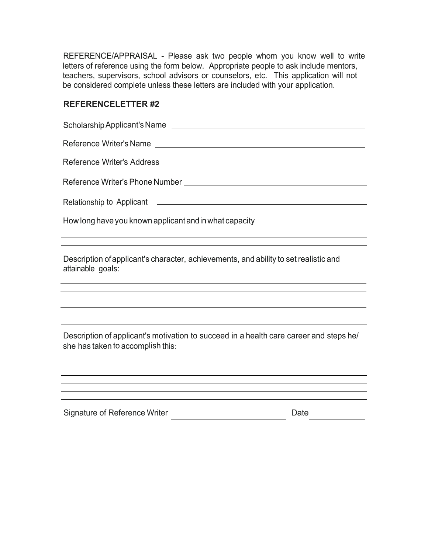REFERENCE/APPRAISAL - Please ask two people whom you know well to write letters of reference using the form below. Appropriate people to ask include mentors, teachers, supervisors, school advisors or counselors, etc. This application will not be considered complete unless these letters are included with your application.

#### **REFERENCELETTER #2**

| Relationship to Applicant <b>example and the example of the set of the set of the set of the set of the set of the set of the set of the set of the set of the set of the set of the set of the set of the set of the set of the</b> |  |  |
|--------------------------------------------------------------------------------------------------------------------------------------------------------------------------------------------------------------------------------------|--|--|
| How long have you known applicant and in what capacity                                                                                                                                                                               |  |  |
| Description of applicant's character, achievements, and ability to set realistic and<br>attainable goals:                                                                                                                            |  |  |
|                                                                                                                                                                                                                                      |  |  |
| Description of applicant's motivation to succeed in a health care career and steps he/<br>she has taken to accomplish this:                                                                                                          |  |  |
|                                                                                                                                                                                                                                      |  |  |

Signature of Reference Writer **Date** Date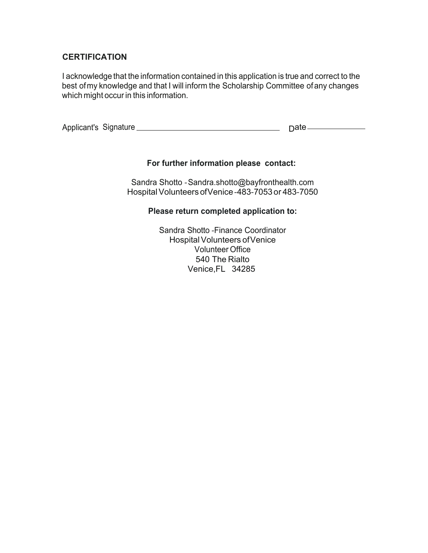#### **CERTIFICATION**

I acknowledge that the information contained in this application is true and correct to the best of my knowledge and that I will inform the Scholarship Committee ofany changes which might occur in this information.

| Applicant's Signature |  |
|-----------------------|--|
|-----------------------|--|

#### **For further information please contact:**

Sandra Shotto ‐Sandra.shotto@bayfronthealth.com Hospital Volunteers of Venice -483-7053 or 483-7050

#### **Please return completed application to:**

Sandra Shotto ‐Finance Coordinator Hospital Volunteers of Venice Volunteer Office 540 The Rialto Venice,FL 34285